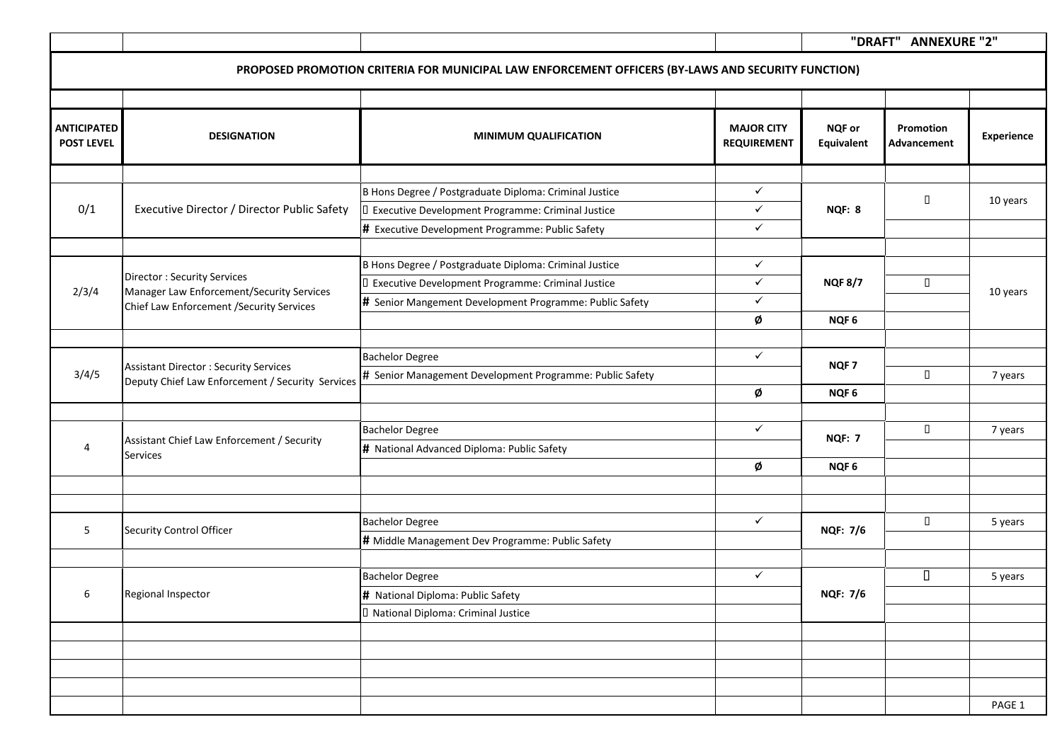|                                         |                                                                                                  | PROPOSED PROMOTION CRITERIA FOR MUNICIPAL LAW ENFORCEMENT OFFICERS (BY-LAWS AND SECURITY FUNCTION) |                                         |                             |                                            |            |
|-----------------------------------------|--------------------------------------------------------------------------------------------------|----------------------------------------------------------------------------------------------------|-----------------------------------------|-----------------------------|--------------------------------------------|------------|
|                                         |                                                                                                  |                                                                                                    |                                         |                             |                                            |            |
| <b>ANTICIPATED</b><br><b>POST LEVEL</b> | <b>DESIGNATION</b>                                                                               | <b>MINIMUM QUALIFICATION</b>                                                                       | <b>MAJOR CITY</b><br><b>REQUIREMENT</b> | <b>NQF or</b><br>Equivalent | <b>Promotion W</b><br><b>Advancement T</b> | Experience |
|                                         |                                                                                                  |                                                                                                    |                                         |                             |                                            |            |
| 0/1                                     | Executive Director / Director Public Safety                                                      | B Hons Degree / Postgraduate Diploma: Criminal Justice                                             | $\checkmark$                            | NQF: 8                      | $\Box$                                     | 10 years   |
|                                         |                                                                                                  | D Executive Development Programme: Criminal Justice                                                | $\checkmark$                            |                             |                                            |            |
|                                         |                                                                                                  | # Executive Development Programme: Public Safety                                                   | $\checkmark$                            |                             |                                            |            |
|                                         |                                                                                                  | B Hons Degree / Postgraduate Diploma: Criminal Justice                                             | $\checkmark$                            |                             |                                            | 10 years   |
|                                         | Director: Security Services                                                                      | I Executive Development Programme: Criminal Justice                                                | $\checkmark$                            | <b>NQF 8/7</b>              | П                                          |            |
| 2/3/4                                   | Manager Law Enforcement/Security Services<br>Chief Law Enforcement / Security Services           | # Senior Mangement Development Programme: Public Safety                                            | $\checkmark$                            | NQF <sub>6</sub>            |                                            |            |
|                                         |                                                                                                  |                                                                                                    | Ø                                       |                             |                                            |            |
|                                         |                                                                                                  |                                                                                                    |                                         |                             |                                            |            |
| 3/4/5                                   | <b>Assistant Director: Security Services</b><br>Deputy Chief Law Enforcement / Security Services | <b>Bachelor Degree</b>                                                                             | $\checkmark$                            | NQF <sub>7</sub>            |                                            |            |
|                                         |                                                                                                  | # Senior Management Development Programme: Public Safety                                           |                                         |                             | $\Box$                                     | 7 years    |
|                                         |                                                                                                  |                                                                                                    | Ø                                       | NQF <sub>6</sub>            |                                            |            |
| 4                                       | Assistant Chief Law Enforcement / Security<br><b>Services</b>                                    | <b>Bachelor Degree</b>                                                                             | $\checkmark$                            | <b>NQF: 7</b>               | П                                          | 7 years    |
|                                         |                                                                                                  | # National Advanced Diploma: Public Safety                                                         |                                         |                             |                                            |            |
|                                         |                                                                                                  |                                                                                                    | Ø                                       | NQF <sub>6</sub>            |                                            |            |
|                                         |                                                                                                  |                                                                                                    |                                         |                             |                                            |            |
|                                         |                                                                                                  |                                                                                                    |                                         |                             |                                            |            |
| 5                                       | Security Control Officer                                                                         | <b>Bachelor Degree</b>                                                                             | $\checkmark$                            | <b>NQF: 7/6</b>             | П                                          | 5 years    |
|                                         |                                                                                                  | # Middle Management Dev Programme: Public Safety                                                   |                                         |                             |                                            |            |
|                                         |                                                                                                  | <b>Bachelor Degree</b>                                                                             | $\checkmark$                            |                             | $\Box$                                     |            |
| 6                                       | Regional Inspector                                                                               |                                                                                                    |                                         | <b>NQF: 7/6</b>             |                                            | 5 years    |
|                                         |                                                                                                  | # National Diploma: Public Safety                                                                  |                                         |                             |                                            |            |
|                                         |                                                                                                  | D National Diploma: Criminal Justice                                                               |                                         |                             |                                            |            |
|                                         |                                                                                                  |                                                                                                    |                                         |                             |                                            |            |
|                                         |                                                                                                  |                                                                                                    |                                         |                             |                                            |            |
|                                         |                                                                                                  |                                                                                                    |                                         |                             |                                            |            |
|                                         |                                                                                                  |                                                                                                    |                                         |                             |                                            | PAGE 1     |